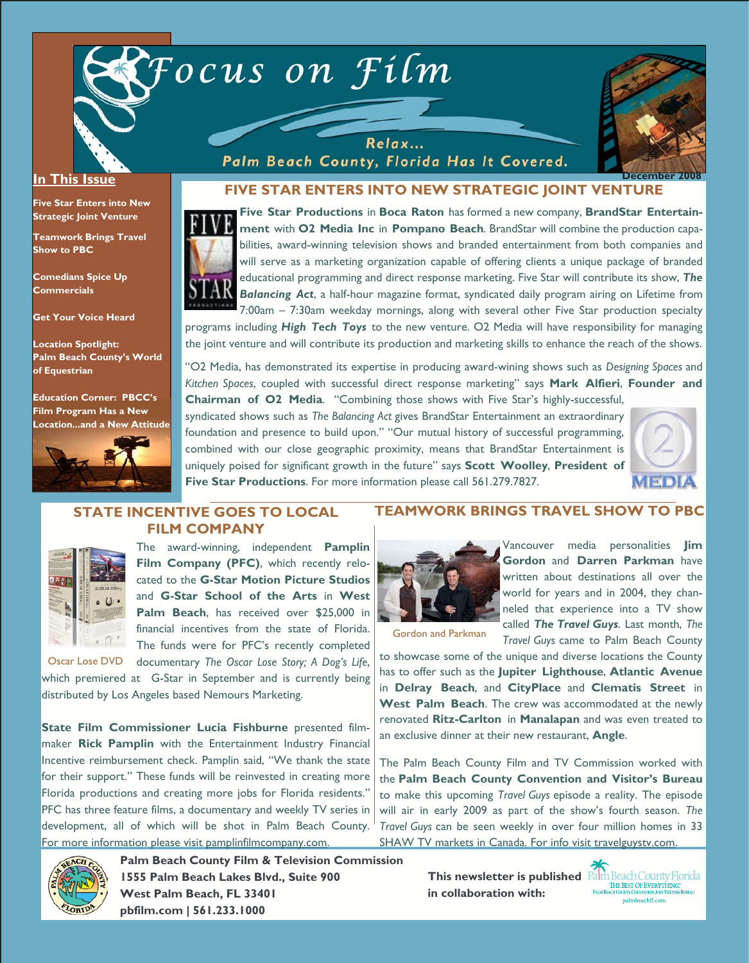



#### **In This Issue**

**Five Star Enters into New Strategic Joint Venture** 

**Teamwork Brings Travel Show to PBC** 

**Comedians Spice Up Commercials** 

**Get Your Voice Heard** 

**Location Spotlight: Palm Beach County's World of Equestrian** 

**Education Corner: PBCC's Film Program Has a New Location...and a New Attitude** 



### **FIVE STAR ENTERS INTO NEW STRATEGIC JOINT VENTURE**

Relax... Palm Beach County, Florida Has It Covered.



**Five Star Productions** in **Boca Raton** has formed a new company, **BrandStar Entertainment** with **O2 Media Inc** in **Pompano Beach**. BrandStar will combine the production capabilities, award-winning television shows and branded entertainment from both companies and will serve as a marketing organization capable of offering clients a unique package of branded educational programming and direct response marketing. Five Star will contribute its show, *The Balancing Act*, a half-hour magazine format, syndicated daily program airing on Lifetime from 7:00am – 7:30am weekday mornings, along with several other Five Star production specialty

programs including *High Tech Toys* to the new venture. O2 Media will have responsibility for managing the joint venture and will contribute its production and marketing skills to enhance the reach of the shows.

"O2 Media, has demonstrated its expertise in producing award-wining shows such as *Designing Spaces* and *Kitchen Spaces*, coupled with successful direct response marketing" says **Mark Alfieri**, **Founder and** 

**Chairman of O2 Media**. "Combining those shows with Five Star's highly-successful, syndicated shows such as *The Balancing Act* gives BrandStar Entertainment an extraordinary foundation and presence to build upon." "Our mutual history of successful programming, combined with our close geographic proximity, means that BrandStar Entertainment is uniquely poised for significant growth in the future" says **Scott Woolley**, **President of Five Star Productions**. For more information please call 561.279.7827.



### **STATE INCENTIVE GOES TO LOCAL FILM COMPANY**



The award-winning, independent **Pamplin**  Film Company (PFC), which recently relocated to the **G-Star Motion Picture Studios**  and **G-Star School of the Arts** in **West Palm Beach**, has received over \$25,000 in financial incentives from the state of Florida. The funds were for PFC's recently completed

documentary *The Oscar Lose Story; A Dog's Life*, which premiered at G-Star in September and is currently being distributed by Los Angeles based Nemours Marketing. Oscar Lose DVD

**State Film Commissioner Lucia Fishburne** presented filmmaker **Rick Pamplin** with the Entertainment Industry Financial Incentive reimbursement check. Pamplin said, "We thank the state for their support." These funds will be reinvested in creating more Florida productions and creating more jobs for Florida residents." PFC has three feature films, a documentary and weekly TV series in development, all of which will be shot in Palm Beach County. For more information please visit pamplinfilmcompany.com.

> **Palm Beach County Film & Television Commission 1555 Palm Beach Lakes Blvd., Suite 900 West Palm Beach, FL 33401 pbfilm.com | 561.233.1000**

## **TEAMWORK BRINGS TRAVEL SHOW TO PBC**



Vancouver media personalities **Jim Gordon** and **Darren Parkman** have written about destinations all over the world for years and in 2004, they channeled that experience into a TV show called *The Travel Guys*. Last month, *The Travel Guys* came to Palm Beach County

Gordon and Parkman

to showcase some of the unique and diverse locations the County has to offer such as the **Jupiter Lighthouse**, **Atlantic Avenue**  in **Delray Beach**, and **CityPlace** and **Clematis Street** in **West Palm Beach**. The crew was accommodated at the newly renovated **Ritz-Carlton** in **Manalapan** and was even treated to an exclusive dinner at their new restaurant, **Angle**.

The Palm Beach County Film and TV Commission worked with the **Palm Beach County Convention and Visitor's Bureau** to make this upcoming *Travel Guys* episode a reality. The episode will air in early 2009 as part of the show's fourth season. *The Travel Guys* can be seen weekly in over four million homes in 33 SHAW TV markets in Canada. For info visit travelguysty.com.



**in collaboration with:**

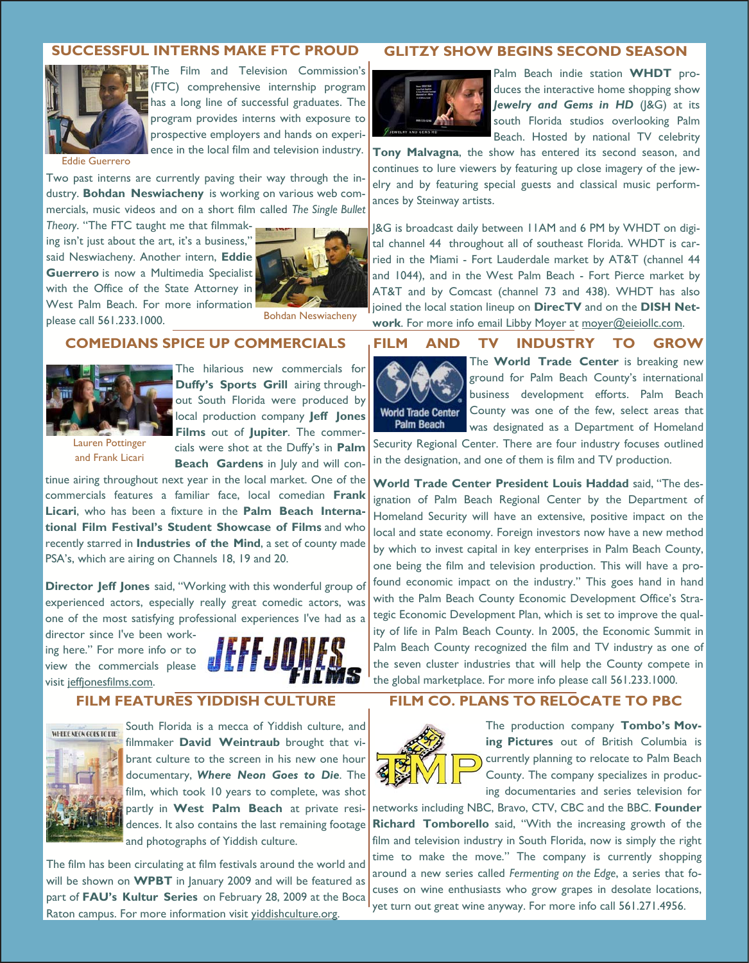### **SUCCESSFUL INTERNS MAKE FTC PROUD**



The Film and Television Commission's (FTC) comprehensive internship program has a long line of successful graduates. The program provides interns with exposure to prospective employers and hands on experience in the local film and television industry.

Eddie Guerrero

Two past interns are currently paving their way through the industry. **Bohdan Neswiacheny** is working on various web commercials, music videos and on a short film called *The Single Bullet* 

*Theory*. "The FTC taught me that filmmaking isn't just about the art, it's a business," said Neswiacheny. Another intern, **Eddie Guerrero** is now a Multimedia Specialist with the Office of the State Attorney in West Palm Beach. For more information please call 561.233.1000.



Bohdan Neswiacheny

## **COMEDIANS SPICE UP COMMERCIALS**



and Frank Licari

The hilarious new commercials for **Duffy's Sports Grill** airing throughout South Florida were produced by local production company **Jeff Jones Films** out of **Jupiter**. The commercials were shot at the Duffy's in **Palm Beach Gardens** in July and will con-

tinue airing throughout next year in the local market. One of the commercials features a familiar face, local comedian **Frank Licari**, who has been a fixture in the **Palm Beach International Film Festival's Student Showcase of Films** and who recently starred in **Industries of the Mind**, a set of county made PSA's, which are airing on Channels 18, 19 and 20.

**Director Jeff Jones** said, "Working with this wonderful group of experienced actors, especially really great comedic actors, was one of the most satisfying professional experiences I've had as a

director since I've been working here." For more info or to view the commercials please visit jeffjonesfilms.com.



## **FILM FEATURES YIDDISH CULTURE**



South Florida is a mecca of Yiddish culture, and filmmaker **David Weintraub** brought that vibrant culture to the screen in his new one hour documentary, *Where Neon Goes to Die*. The film, which took 10 years to complete, was shot partly in **West Palm Beach** at private residences. It also contains the last remaining footage and photographs of Yiddish culture.

The film has been circulating at film festivals around the world and will be shown on **WPBT** in January 2009 and will be featured as part of **FAU's Kultur Series** on February 28, 2009 at the Boca Raton campus. For more information visit yiddishculture.org.

### **GLITZY SHOW BEGINS SECOND SEASON**



Palm Beach indie station **WHDT** produces the interactive home shopping show *Jewelry and Gems in HD* (J&G) at its south Florida studios overlooking Palm Beach. Hosted by national TV celebrity

**Tony Malvagna**, the show has entered its second season, and continues to lure viewers by featuring up close imagery of the jewelry and by featuring special guests and classical music performances by Steinway artists.

J&G is broadcast daily between 11AM and 6 PM by WHDT on digital channel 44 throughout all of southeast Florida. WHDT is carried in the Miami - Fort Lauderdale market by AT&T (channel 44 and 1044), and in the West Palm Beach - Fort Pierce market by AT&T and by Comcast (channel 73 and 438). WHDT has also joined the local station lineup on **DirecTV** and on the **DISH Network**. For more info email Libby Moyer at moyer@eieiollc.com.

### **FILM AND TV INDUSTRY TO GROW**



The **World Trade Center** is breaking new ground for Palm Beach County's international business development efforts. Palm Beach County was one of the few, select areas that was designated as a Department of Homeland

Security Regional Center. There are four industry focuses outlined in the designation, and one of them is film and TV production.

**World Trade Center President Louis Haddad** said, "The designation of Palm Beach Regional Center by the Department of Homeland Security will have an extensive, positive impact on the local and state economy. Foreign investors now have a new method by which to invest capital in key enterprises in Palm Beach County, one being the film and television production. This will have a profound economic impact on the industry." This goes hand in hand with the Palm Beach County Economic Development Office's Strategic Economic Development Plan, which is set to improve the quality of life in Palm Beach County. In 2005, the Economic Summit in Palm Beach County recognized the film and TV industry as one of the seven cluster industries that will help the County compete in the global marketplace. For more info please call 561.233.1000.

## **FILM CO. PLANS TO RELOCATE TO PBC**



The production company **Tombo's Moving Pictures** out of British Columbia is currently planning to relocate to Palm Beach County. The company specializes in producing documentaries and series television for

networks including NBC, Bravo, CTV, CBC and the BBC. **Founder Richard Tomborello** said, "With the increasing growth of the film and television industry in South Florida, now is simply the right time to make the move." The company is currently shopping around a new series called *Fermenting on the Edge*, a series that focuses on wine enthusiasts who grow grapes in desolate locations, yet turn out great wine anyway. For more info call 561.271.4956.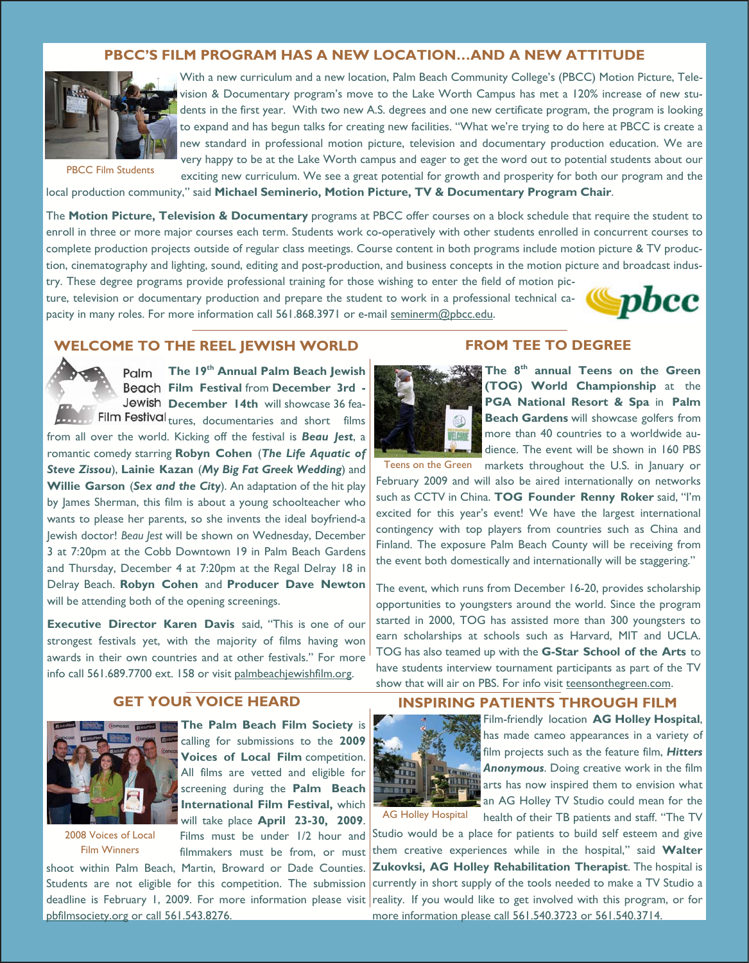## **PBCC'S FILM PROGRAM HAS A NEW LOCATION…AND A NEW ATTITUDE**



PBCC Film Students

With a new curriculum and a new location, Palm Beach Community College's (PBCC) Motion Picture, Television & Documentary program's move to the Lake Worth Campus has met a 120% increase of new students in the first year. With two new A.S. degrees and one new certificate program, the program is looking to expand and has begun talks for creating new facilities. "What we're trying to do here at PBCC is create a new standard in professional motion picture, television and documentary production education. We are very happy to be at the Lake Worth campus and eager to get the word out to potential students about our exciting new curriculum. We see a great potential for growth and prosperity for both our program and the

local production community," said **Michael Seminerio, Motion Picture, TV & Documentary Program Chair**.

The **Motion Picture, Television & Documentary** programs at PBCC offer courses on a block schedule that require the student to enroll in three or more major courses each term. Students work co-operatively with other students enrolled in concurrent courses to complete production projects outside of regular class meetings. Course content in both programs include motion picture & TV production, cinematography and lighting, sound, editing and post-production, and business concepts in the motion picture and broadcast indus-

try. These degree programs provide professional training for those wishing to enter the field of motion picture, television or documentary production and prepare the student to work in a professional technical capacity in many roles. For more information call 561.868.3971 or e-mail seminerm@pbcc.edu.



### **WELCOME TO THE REEL JEWISH WORLD**



**The 19th Annual Palm Beach Jewish Film Festival** from **December 3rd -**  Jewish December 14th will showcase 36 fea-Film Festival tures, documentaries and short films

from all over the world. Kicking off the festival is *Beau Jest*, a romantic comedy starring **Robyn Cohen** (*The Life Aquatic of Steve Zissou*), **Lainie Kazan** (*My Big Fat Greek Wedding*) and **Willie Garson** (*Sex and the City*). An adaptation of the hit play by James Sherman, this film is about a young schoolteacher who wants to please her parents, so she invents the ideal boyfriend-a Jewish doctor! *Beau Jest* will be shown on Wednesday, December 3 at 7:20pm at the Cobb Downtown 19 in Palm Beach Gardens and Thursday, December 4 at 7:20pm at the Regal Delray 18 in Delray Beach. **Robyn Cohen** and **Producer Dave Newton**  will be attending both of the opening screenings.

**Executive Director Karen Davis** said, "This is one of our strongest festivals yet, with the majority of films having won awards in their own countries and at other festivals." For more info call 561.689.7700 ext. 158 or visit palmbeachjewishfilm.org.

# **GET YOUR VOICE HEARD**



2008 Voices of Local Film Winners

**The Palm Beach Film Society** is calling for submissions to the **2009 Voices of Local Film** competition. All films are vetted and eligible for screening during the **Palm Beach International Film Festival,** which will take place **April 23-30, 2009**.

Films must be under 1/2 hour and filmmakers must be from, or must shoot within Palm Beach, Martin, Broward or Dade Counties.

Students are not eligible for this competition. The submission pbfilmsociety.org or call 561.543.8276.

### **FROM TEE TO DEGREE**



**The 8th annual Teens on the Green (TOG) World Championship** at the **PGA National Resort & Spa** in **Palm Beach Gardens** will showcase golfers from more than 40 countries to a worldwide audience. The event will be shown in 160 PBS

Teens on the Green markets throughout the U.S. in January or February 2009 and will also be aired internationally on networks such as CCTV in China. **TOG Founder Renny Roker** said, "I'm excited for this year's event! We have the largest international contingency with top players from countries such as China and Finland. The exposure Palm Beach County will be receiving from the event both domestically and internationally will be staggering."

The event, which runs from December 16-20, provides scholarship opportunities to youngsters around the world. Since the program started in 2000, TOG has assisted more than 300 youngsters to earn scholarships at schools such as Harvard, MIT and UCLA. TOG has also teamed up with the **G-Star School of the Arts** to have students interview tournament participants as part of the TV show that will air on PBS. For info visit teensonthegreen.com.

### **INSPIRING PATIENTS THROUGH FILM**



Film-friendly location **AG Holley Hospital**, has made cameo appearances in a variety of film projects such as the feature film, *Hitters Anonymous*. Doing creative work in the film arts has now inspired them to envision what an AG Holley TV Studio could mean for the health of their TB patients and staff. "The TV

AG Holley Hospital

deadline is February 1, 2009. For more information please visit reality. If you would like to get involved with this program, or for Studio would be a place for patients to build self esteem and give them creative experiences while in the hospital," said **Walter Zukovksi, AG Holley Rehabilitation Therapist**. The hospital is currently in short supply of the tools needed to make a TV Studio a more information please call 561.540.3723 or 561.540.3714.